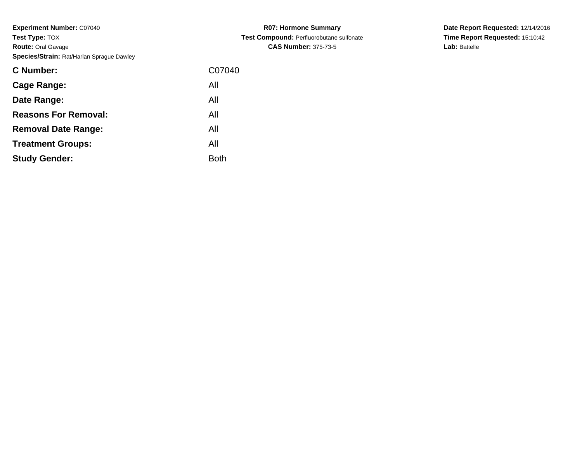| C07040      |
|-------------|
| All         |
| All         |
| All         |
| All         |
| All         |
| <b>Both</b> |
|             |

**R07: Hormone Summary Test Compound:** Perfluorobutane sulfonate**CAS Number:** 375-73-5

**Date Report Requested:** 12/14/2016 **Time Report Requested:** 15:10:42**Lab:** Battelle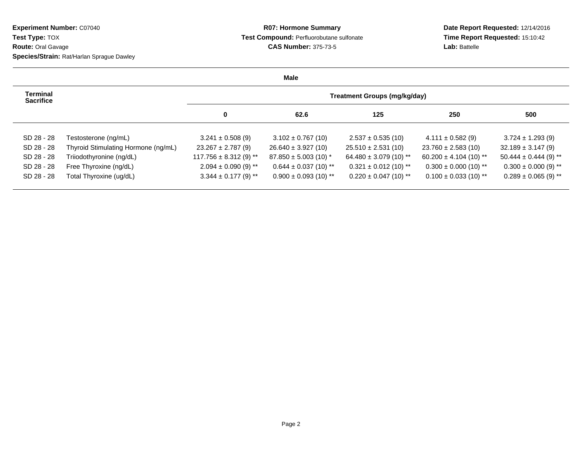## **R07: Hormone Summary Test Compound:** Perfluorobutane sulfonate**CAS Number:** 375-73-5

**Date Report Requested:** 12/14/2016 **Time Report Requested:** 15:10:42**Lab:** Battelle

|                              |                                     |                            | <b>Male</b>               |                                     |                            |                           |
|------------------------------|-------------------------------------|----------------------------|---------------------------|-------------------------------------|----------------------------|---------------------------|
| Terminal<br><b>Sacrifice</b> |                                     |                            |                           | <b>Treatment Groups (mg/kg/day)</b> |                            |                           |
|                              |                                     | 0                          | 62.6                      | 125                                 | 250                        | 500                       |
| SD 28 - 28                   | Testosterone (ng/mL)                | $3.241 \pm 0.508$ (9)      | $3.102 \pm 0.767$ (10)    | $2.537 \pm 0.535(10)$               | $4.111 \pm 0.582$ (9)      | $3.724 \pm 1.293$ (9)     |
| SD 28 - 28                   | Thyroid Stimulating Hormone (ng/mL) | $23.267 \pm 2.787$ (9)     | $26.640 \pm 3.927(10)$    | $25.510 \pm 2.531(10)$              | $23.760 \pm 2.583(10)$     | $32.189 \pm 3.147(9)$     |
| SD 28 - 28                   | Triiodothyronine (ng/dL)            | $117.756 \pm 8.312$ (9) ** | $87.850 \pm 5.003$ (10) * | $64.480 \pm 3.079$ (10) **          | $60.200 \pm 4.104$ (10) ** | $50.444 \pm 0.444$ (9) ** |
| SD 28 - 28                   | Free Thyroxine (ng/dL)              | $2.094 \pm 0.090$ (9) **   | $0.644 \pm 0.037$ (10) ** | $0.321 \pm 0.012$ (10) **           | $0.300 \pm 0.000$ (10) **  | $0.300 \pm 0.000$ (9) **  |
| SD 28 - 28                   | Total Thyroxine (ug/dL)             | $3.344 \pm 0.177$ (9) **   | $0.900 \pm 0.093$ (10) ** | $0.220 \pm 0.047$ (10) **           | $0.100 \pm 0.033$ (10) **  | $0.289 \pm 0.065$ (9) **  |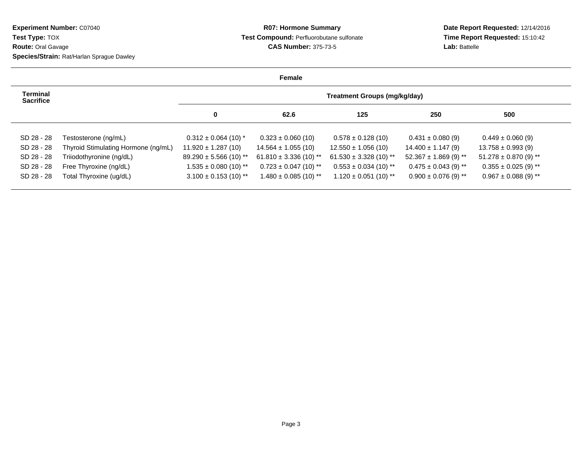## **R07: Hormone Summary Test Compound:** Perfluorobutane sulfonate**CAS Number:** 375-73-5

**Date Report Requested:** 12/14/2016 **Time Report Requested:** 15:10:42**Lab:** Battelle

|                                     |                                     |                            | Female                     |                                     |                           |                           |
|-------------------------------------|-------------------------------------|----------------------------|----------------------------|-------------------------------------|---------------------------|---------------------------|
| <b>Terminal</b><br><b>Sacrifice</b> |                                     |                            |                            | <b>Treatment Groups (mg/kg/day)</b> |                           |                           |
|                                     |                                     | 0                          | 62.6                       | 125                                 | 250                       | 500                       |
| SD 28 - 28                          | Testosterone (ng/mL)                | $0.312 \pm 0.064$ (10) *   | $0.323 \pm 0.060$ (10)     | $0.578 \pm 0.128$ (10)              | $0.431 \pm 0.080$ (9)     | $0.449 \pm 0.060$ (9)     |
| SD 28 - 28                          | Thyroid Stimulating Hormone (ng/mL) | $11.920 \pm 1.287(10)$     | $14.564 \pm 1.055(10)$     | $12.550 \pm 1.056$ (10)             | $14.400 \pm 1.147(9)$     | $13.758 \pm 0.993$ (9)    |
| SD 28 - 28                          | Triiodothyronine (ng/dL)            | $89.290 \pm 5.566$ (10) ** | $61.810 \pm 3.336$ (10) ** | $61.530 \pm 3.328$ (10) **          | $52.367 \pm 1.869$ (9) ** | $51.278 \pm 0.870$ (9) ** |
| SD 28 - 28                          | Free Thyroxine (ng/dL)              | $1.535 \pm 0.080$ (10) **  | $0.723 \pm 0.047$ (10) **  | $0.553 \pm 0.034$ (10) **           | $0.475 \pm 0.043$ (9) **  | $0.355 \pm 0.025$ (9) **  |
| SD 28 - 28                          | Total Thyroxine (ug/dL)             | $3.100 \pm 0.153$ (10) **  | $1.480 \pm 0.085$ (10) **  | $1.120 \pm 0.051$ (10) **           | $0.900 \pm 0.076$ (9) **  | $0.967 \pm 0.088$ (9) **  |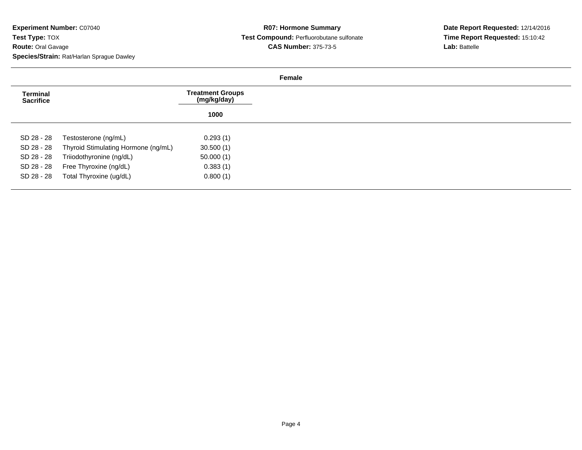|                                     |                                     |                                        | Female |
|-------------------------------------|-------------------------------------|----------------------------------------|--------|
| <b>Terminal</b><br><b>Sacrifice</b> |                                     | <b>Treatment Groups</b><br>(mg/kg/day) |        |
|                                     |                                     | 1000                                   |        |
| SD 28 - 28                          | Testosterone (ng/mL)                | 0.293(1)                               |        |
| SD 28 - 28                          | Thyroid Stimulating Hormone (ng/mL) | 30.500(1)                              |        |
| SD 28 - 28                          | Triiodothyronine (ng/dL)            | 50.000(1)                              |        |
| SD 28 - 28                          | Free Thyroxine (ng/dL)              | 0.383(1)                               |        |
| SD 28 - 28                          | Total Thyroxine (ug/dL)             | 0.800(1)                               |        |